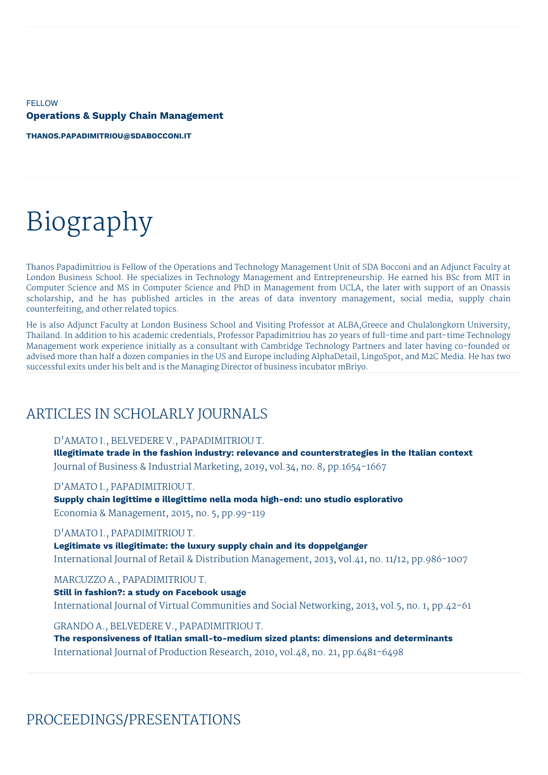**FELLOW Operations & Supply Chain Management**

**[THANOS.PAPADIMITRIOU@SDABOCCONI.IT](mailto:thanos.papadimitriou@sdabocconi.it)**

# Biography

Thanos Papadimitriou is Fellow of the Operations and Technology Management Unit of SDA Bocconi and an Adjunct Faculty at London Business School. He specializes in Technology Management and Entrepreneurship. He earned his BSc from MIT in Computer Science and MS in Computer Science and PhD in Management from UCLA, the later with support of an Onassis scholarship, and he has published articles in the areas of data inventory management, social media, supply chain counterfeiting, and other related topics.

He is also Adjunct Faculty at London Business School and Visiting Professor at ALBA,Greece and Chulalongkorn University, Thailand. In addition to his academic credentials, Professor Papadimitriou has 20 years of full-time and part-time Technology Management work experience initially as a consultant with Cambridge Technology Partners and later having co-founded or advised more than half a dozen companies in the US and Europe including AlphaDetail, LingoSpot, and M2C Media. He has two successful exits under his belt and is the Managing Director of business incubator mBriyo.

# ARTICLES IN SCHOLARLY JOURNALS

D'AMATO I., BELVEDERE V., PAPADIMITRIOU T.

**Illegitimate trade in the fashion industry: relevance and counterstrategies in the Italian context** Journal of Business & Industrial Marketing, 2019, vol.34, no. 8, pp.1654-1667

D'AMATO I., PAPADIMITRIOU T.

**Supply chain legittime e illegittime nella moda high-end: uno studio esplorativo** Economia & Management, 2015, no. 5, pp.99-119

D'AMATO I., PAPADIMITRIOU T.

**Legitimate vs illegitimate: the luxury supply chain and its doppelganger** International Journal of Retail & Distribution Management, 2013, vol.41, no. 11/12, pp.986-1007

MARCUZZO A., PAPADIMITRIOU T.

**Still in fashion?: a study on Facebook usage** International Journal of Virtual Communities and Social Networking, 2013, vol.5, no. 1, pp.42-61

GRANDO A., BELVEDERE V., PAPADIMITRIOU T.

**The responsiveness of Italian small-to-medium sized plants: dimensions and determinants** International Journal of Production Research, 2010, vol.48, no. 21, pp.6481-6498

PROCEEDINGS/PRESENTATIONS